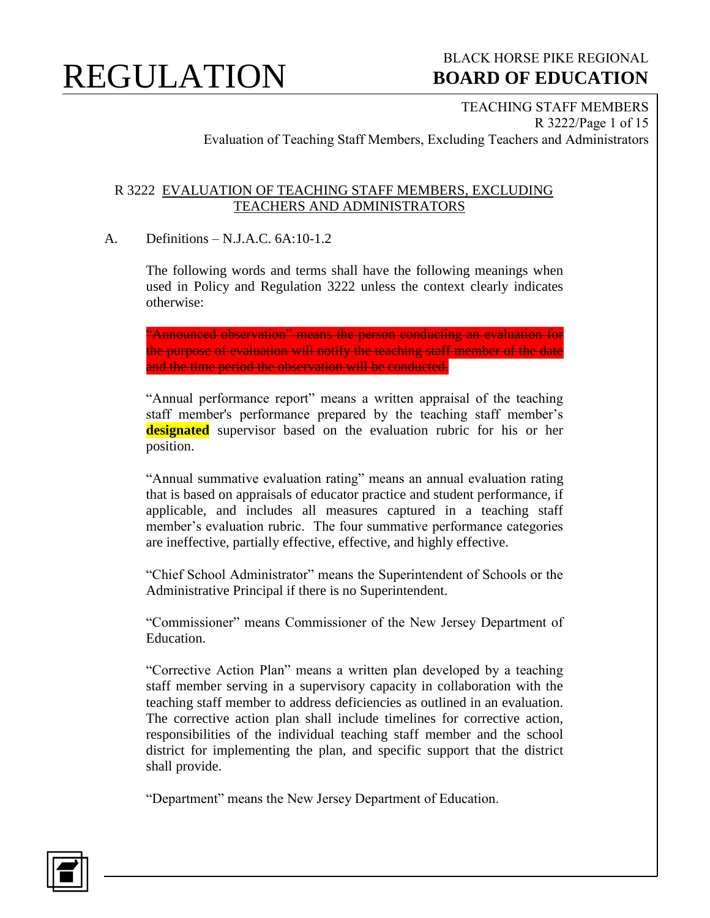

### BLACK HORSE PIKE REGIONAL  **BOARD OF EDUCATION**

TEACHING STAFF MEMBERS R 3222/Page 1 of 15 Evaluation of Teaching Staff Members, Excluding Teachers and Administrators

#### R 3222 EVALUATION OF TEACHING STAFF MEMBERS, EXCLUDING TEACHERS AND ADMINISTRATORS

#### A. Definitions – N.J.A.C. 6A:10-1.2

The following words and terms shall have the following meanings when used in Policy and Regulation 3222 unless the context clearly indicates otherwise:

"Announced observation" means the person conducting an evaluation for the purpose of evaluation will notify the teaching staff member of the date and the time period the observation will be conducted.

"Annual performance report" means a written appraisal of the teaching staff member's performance prepared by the teaching staff member's **designated** supervisor based on the evaluation rubric for his or her position.

"Annual summative evaluation rating" means an annual evaluation rating that is based on appraisals of educator practice and student performance, if applicable, and includes all measures captured in a teaching staff member's evaluation rubric. The four summative performance categories are ineffective, partially effective, effective, and highly effective.

"Chief School Administrator" means the Superintendent of Schools or the Administrative Principal if there is no Superintendent.

"Commissioner" means Commissioner of the New Jersey Department of Education.

"Corrective Action Plan" means a written plan developed by a teaching staff member serving in a supervisory capacity in collaboration with the teaching staff member to address deficiencies as outlined in an evaluation. The corrective action plan shall include timelines for corrective action, responsibilities of the individual teaching staff member and the school district for implementing the plan, and specific support that the district shall provide.

"Department" means the New Jersey Department of Education.

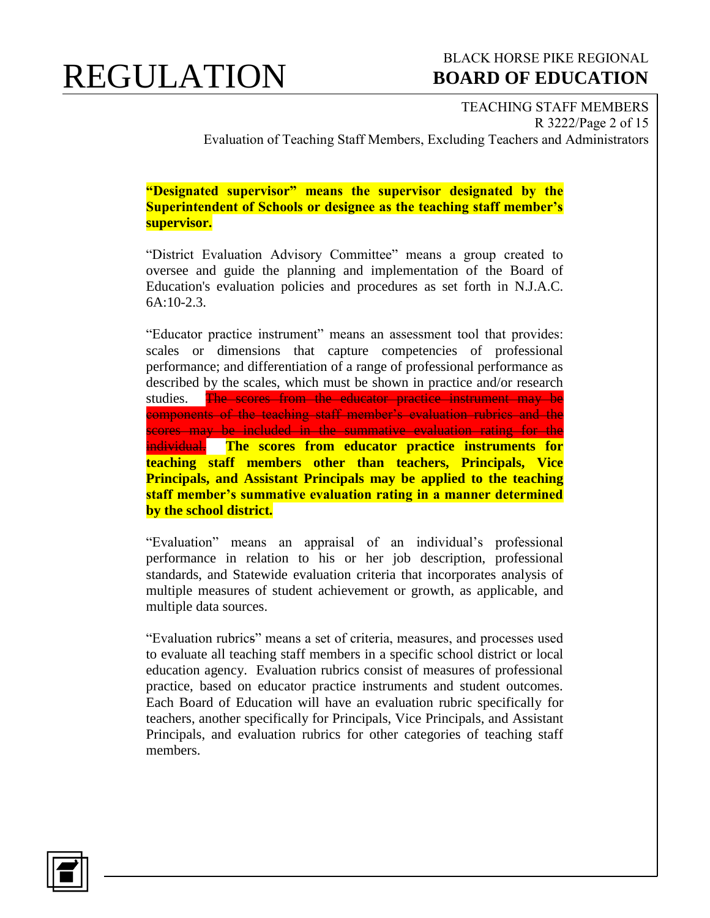#### BLACK HORSE PIKE REGIONAL  **BOARD OF EDUCATION**

TEACHING STAFF MEMBERS R 3222/Page 2 of 15 Evaluation of Teaching Staff Members, Excluding Teachers and Administrators

**"Designated supervisor" means the supervisor designated by the Superintendent of Schools or designee as the teaching staff member's supervisor.**

"District Evaluation Advisory Committee" means a group created to oversee and guide the planning and implementation of the Board of Education's evaluation policies and procedures as set forth in N.J.A.C. 6A:10-2.3.

"Educator practice instrument" means an assessment tool that provides: scales or dimensions that capture competencies of professional performance; and differentiation of a range of professional performance as described by the scales, which must be shown in practice and/or research studies. The scores from the educator practice instrument may be components of the teaching staff member's evaluation rubrics and the scores may be included in the summative evaluation rating for the individual. **The scores from educator practice instruments for teaching staff members other than teachers, Principals, Vice Principals, and Assistant Principals may be applied to the teaching staff member's summative evaluation rating in a manner determined by the school district.**

"Evaluation" means an appraisal of an individual's professional performance in relation to his or her job description, professional standards, and Statewide evaluation criteria that incorporates analysis of multiple measures of student achievement or growth, as applicable, and multiple data sources.

"Evaluation rubrics" means a set of criteria, measures, and processes used to evaluate all teaching staff members in a specific school district or local education agency. Evaluation rubrics consist of measures of professional practice, based on educator practice instruments and student outcomes. Each Board of Education will have an evaluation rubric specifically for teachers, another specifically for Principals, Vice Principals, and Assistant Principals, and evaluation rubrics for other categories of teaching staff members.

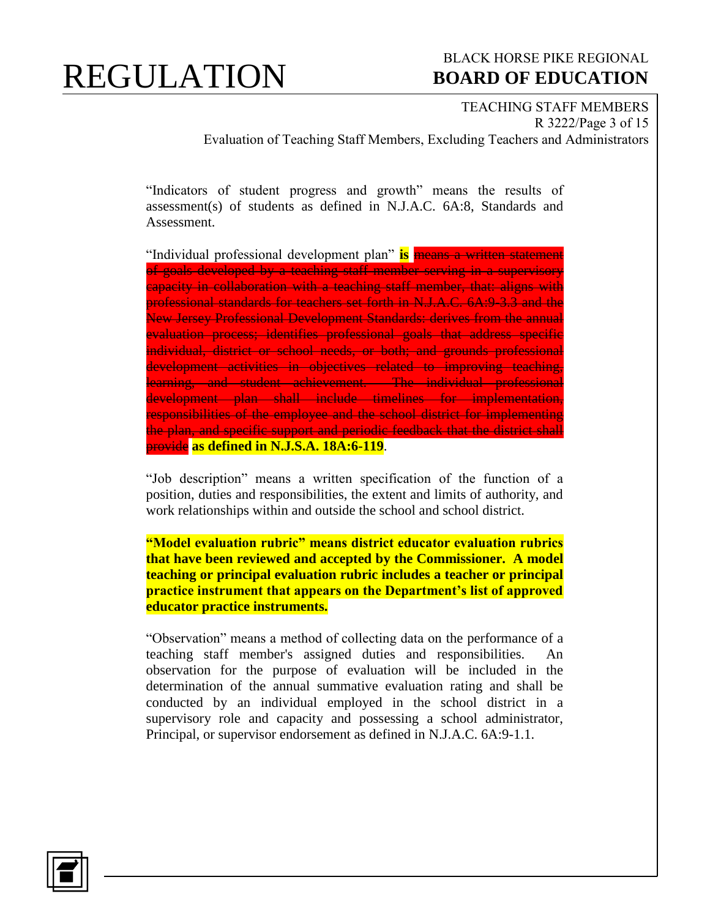#### BLACK HORSE PIKE REGIONAL  **BOARD OF EDUCATION**

TEACHING STAFF MEMBERS R 3222/Page 3 of 15 Evaluation of Teaching Staff Members, Excluding Teachers and Administrators

"Indicators of student progress and growth" means the results of assessment(s) of students as defined in N.J.A.C. 6A:8, Standards and Assessment.

"Individual professional development plan" **is** means a written statement of goals developed by a teaching staff member serving in a supervisory capacity in collaboration with a teaching staff member, that: aligns with professional standards for teachers set forth in N.J.A.C. 6A:9-3.3 and the New Jersey Professional Development Standards: derives from the annual evaluation process; identifies professional goals that address specific individual, district or school needs, or both; and grounds professional development activities in objectives related to improving teaching, learning, and student achievement. The individual professional development plan shall include timelines for implementation, responsibilities of the employee and the school district for implementing the plan, and specific support and periodic feedback that the district shall provide **as defined in N.J.S.A. 18A:6-119**.

"Job description" means a written specification of the function of a position, duties and responsibilities, the extent and limits of authority, and work relationships within and outside the school and school district.

**"Model evaluation rubric" means district educator evaluation rubrics that have been reviewed and accepted by the Commissioner. A model teaching or principal evaluation rubric includes a teacher or principal practice instrument that appears on the Department's list of approved educator practice instruments.** 

"Observation" means a method of collecting data on the performance of a teaching staff member's assigned duties and responsibilities. An observation for the purpose of evaluation will be included in the determination of the annual summative evaluation rating and shall be conducted by an individual employed in the school district in a supervisory role and capacity and possessing a school administrator, Principal, or supervisor endorsement as defined in N.J.A.C. 6A:9-1.1.

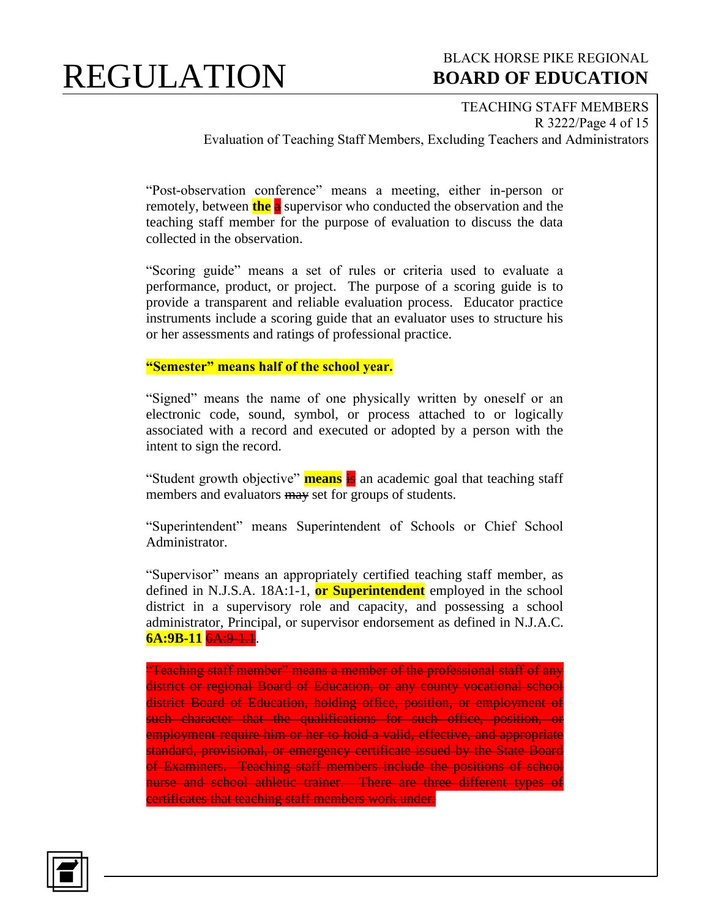#### BLACK HORSE PIKE REGIONAL  **BOARD OF EDUCATION**

TEACHING STAFF MEMBERS R 3222/Page 4 of 15 Evaluation of Teaching Staff Members, Excluding Teachers and Administrators

"Post-observation conference" means a meeting, either in-person or remotely, between **the** a supervisor who conducted the observation and the teaching staff member for the purpose of evaluation to discuss the data collected in the observation.

"Scoring guide" means a set of rules or criteria used to evaluate a performance, product, or project. The purpose of a scoring guide is to provide a transparent and reliable evaluation process. Educator practice instruments include a scoring guide that an evaluator uses to structure his or her assessments and ratings of professional practice.

### **"Semester" means half of the school year.**

"Signed" means the name of one physically written by oneself or an electronic code, sound, symbol, or process attached to or logically associated with a record and executed or adopted by a person with the intent to sign the record.

"Student growth objective" **means** is an academic goal that teaching staff members and evaluators may set for groups of students.

"Superintendent" means Superintendent of Schools or Chief School Administrator.

"Supervisor" means an appropriately certified teaching staff member, as defined in N.J.S.A. 18A:1-1, **or Superintendent** employed in the school district in a supervisory role and capacity, and possessing a school administrator, Principal, or supervisor endorsement as defined in N.J.A.C. **6A:9B-11** 6A:9-1.1.

"Teaching staff member" means a member of the professional staff of any district or regional Board of Education, or any county vocational school district Board of Education, holding office, position, or employment of such character that the qualifications for such office, position, or employment require him or her to hold a valid, effective, and appropriate standard, provisional, or emergency certificate issued by the State Board of Examiners. Teaching staff members include the positions of school nurse and school athletic trainer. There are three different types of certificates that teaching staff members work under:

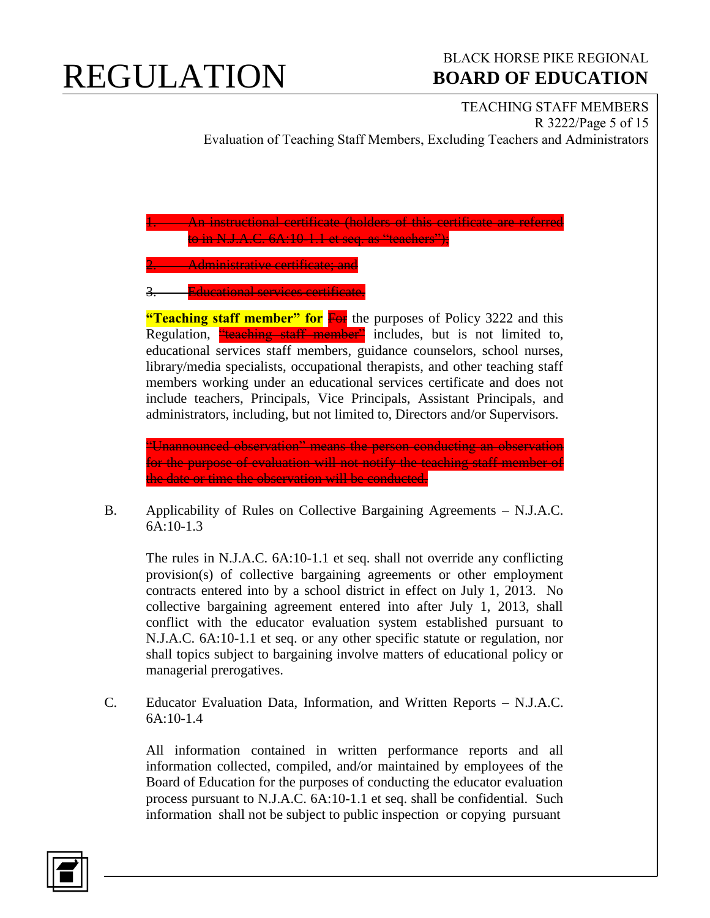### BLACK HORSE PIKE REGIONAL  **BOARD OF EDUCATION**

TEACHING STAFF MEMBERS R 3222/Page 5 of 15 Evaluation of Teaching Staff Members, Excluding Teachers and Administrators

**1. An instructional certificate (holders of this certificate are referred** to in N.J.A.C. 6A:10-1.1 et seq. as "teachers");

**2. Administrative certificate; and** 

**Educational services certificate.** 

**"Teaching staff member" for For** the purposes of Policy 3222 and this Regulation, "teaching staff member" includes, but is not limited to, educational services staff members, guidance counselors, school nurses, library/media specialists, occupational therapists, and other teaching staff members working under an educational services certificate and does not include teachers, Principals, Vice Principals, Assistant Principals, and administrators, including, but not limited to, Directors and/or Supervisors.

"Unannounced observation" means the person conducting an observation for the purpose of evaluation will not notify the teaching staff member of the date or time the observation will be conducted.

B. Applicability of Rules on Collective Bargaining Agreements – N.J.A.C. 6A:10-1.3

The rules in N.J.A.C. 6A:10-1.1 et seq. shall not override any conflicting provision(s) of collective bargaining agreements or other employment contracts entered into by a school district in effect on July 1, 2013. No collective bargaining agreement entered into after July 1, 2013, shall conflict with the educator evaluation system established pursuant to N.J.A.C. 6A:10-1.1 et seq. or any other specific statute or regulation, nor shall topics subject to bargaining involve matters of educational policy or managerial prerogatives.

C. Educator Evaluation Data, Information, and Written Reports – N.J.A.C. 6A:10-1.4

All information contained in written performance reports and all information collected, compiled, and/or maintained by employees of the Board of Education for the purposes of conducting the educator evaluation process pursuant to N.J.A.C. 6A:10-1.1 et seq. shall be confidential. Such information shall not be subject to public inspection or copying pursuant

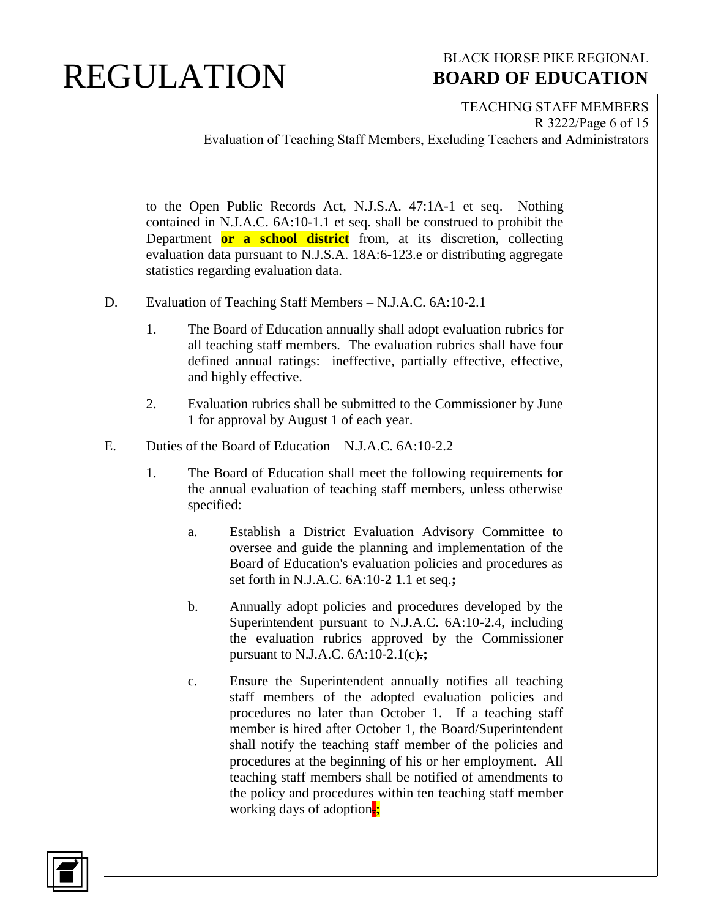#### BLACK HORSE PIKE REGIONAL  **BOARD OF EDUCATION**

TEACHING STAFF MEMBERS R 3222/Page 6 of 15 Evaluation of Teaching Staff Members, Excluding Teachers and Administrators

to the Open Public Records Act, N.J.S.A. 47:1A-1 et seq. Nothing contained in N.J.A.C. 6A:10-1.1 et seq. shall be construed to prohibit the Department **or a school district** from, at its discretion, collecting evaluation data pursuant to N.J.S.A. 18A:6-123.e or distributing aggregate statistics regarding evaluation data.

- D. Evaluation of Teaching Staff Members N.J.A.C. 6A:10-2.1
	- 1. The Board of Education annually shall adopt evaluation rubrics for all teaching staff members. The evaluation rubrics shall have four defined annual ratings: ineffective, partially effective, effective, and highly effective.
	- 2. Evaluation rubrics shall be submitted to the Commissioner by June 1 for approval by August 1 of each year.
- E. Duties of the Board of Education N.J.A.C. 6A:10-2.2
	- 1. The Board of Education shall meet the following requirements for the annual evaluation of teaching staff members, unless otherwise specified:
		- a. Establish a District Evaluation Advisory Committee to oversee and guide the planning and implementation of the Board of Education's evaluation policies and procedures as set forth in N.J.A.C. 6A:10-**2** 1.1 et seq.**;**
		- b. Annually adopt policies and procedures developed by the Superintendent pursuant to N.J.A.C. 6A:10-2.4, including the evaluation rubrics approved by the Commissioner pursuant to N.J.A.C. 6A:10-2.1(c).**;**
		- c. Ensure the Superintendent annually notifies all teaching staff members of the adopted evaluation policies and procedures no later than October 1. If a teaching staff member is hired after October 1, the Board/Superintendent shall notify the teaching staff member of the policies and procedures at the beginning of his or her employment. All teaching staff members shall be notified of amendments to the policy and procedures within ten teaching staff member working days of adoption.**;**

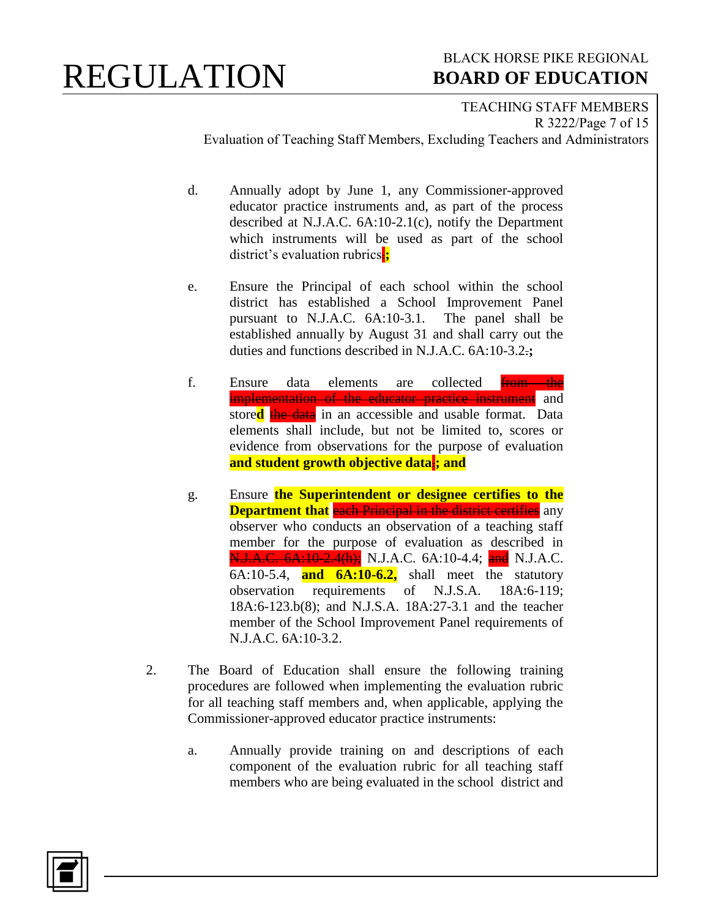### BLACK HORSE PIKE REGIONAL  **BOARD OF EDUCATION**

TEACHING STAFF MEMBERS R 3222/Page 7 of 15 Evaluation of Teaching Staff Members, Excluding Teachers and Administrators

d. Annually adopt by June 1, any Commissioner-approved educator practice instruments and, as part of the process described at N.J.A.C. 6A:10-2.1(c), notify the Department which instruments will be used as part of the school district's evaluation rubrics.**;**

- e. Ensure the Principal of each school within the school district has established a School Improvement Panel pursuant to N.J.A.C. 6A:10-3.1. The panel shall be established annually by August 31 and shall carry out the duties and functions described in N.J.A.C. 6A:10-3.2.**;**
- f. Ensure data elements are collected from the implementation of the educator practice instrument and store**d** the data in an accessible and usable format. Data elements shall include, but not be limited to, scores or evidence from observations for the purpose of evaluation **and student growth objective data**.**; and**
- g. Ensure **the Superintendent or designee certifies to the Department that** each Principal in the district certifies any observer who conducts an observation of a teaching staff member for the purpose of evaluation as described in N.J.A.C. 6A:10-2.4(h); N.J.A.C. 6A:10-4.4; and N.J.A.C. 6A:10-5.4, **and 6A:10-6.2,** shall meet the statutory observation requirements of N.J.S.A. 18A:6-119; 18A:6-123.b(8); and N.J.S.A. 18A:27-3.1 and the teacher member of the School Improvement Panel requirements of N.J.A.C. 6A:10-3.2.
- 2. The Board of Education shall ensure the following training procedures are followed when implementing the evaluation rubric for all teaching staff members and, when applicable, applying the Commissioner-approved educator practice instruments:
	- a. Annually provide training on and descriptions of each component of the evaluation rubric for all teaching staff members who are being evaluated in the school district and

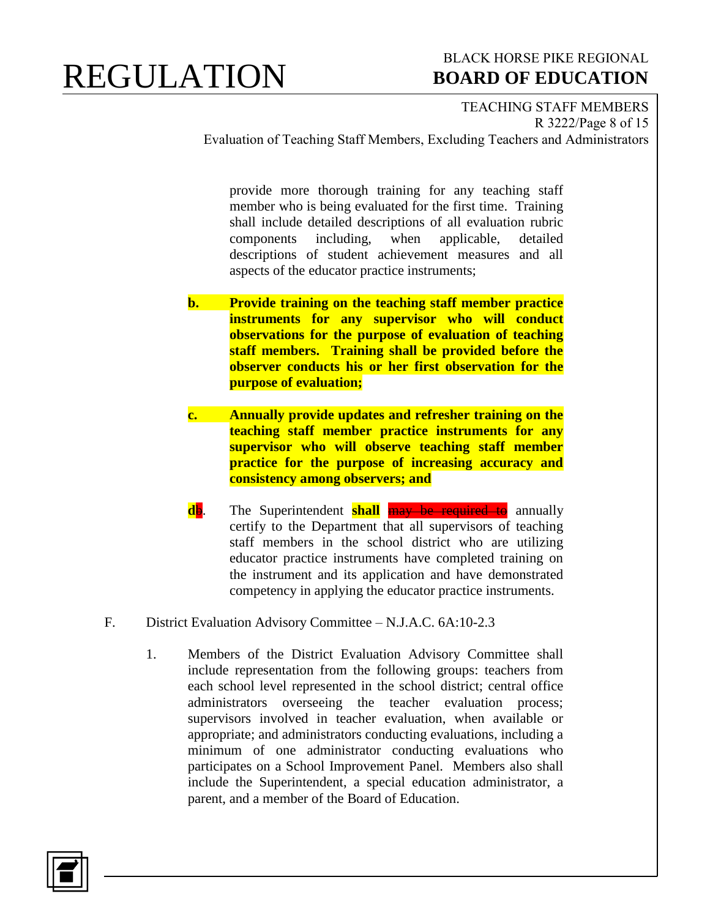#### BLACK HORSE PIKE REGIONAL  **BOARD OF EDUCATION**

TEACHING STAFF MEMBERS R 3222/Page 8 of 15 Evaluation of Teaching Staff Members, Excluding Teachers and Administrators

provide more thorough training for any teaching staff member who is being evaluated for the first time. Training shall include detailed descriptions of all evaluation rubric components including, when applicable, detailed descriptions of student achievement measures and all aspects of the educator practice instruments;

- **b. Provide training on the teaching staff member practice instruments for any supervisor who will conduct observations for the purpose of evaluation of teaching staff members. Training shall be provided before the observer conducts his or her first observation for the purpose of evaluation;**
- **c. Annually provide updates and refresher training on the teaching staff member practice instruments for any supervisor who will observe teaching staff member practice for the purpose of increasing accuracy and consistency among observers; and**
- **db**. The Superintendent **shall may be required to** annually certify to the Department that all supervisors of teaching staff members in the school district who are utilizing educator practice instruments have completed training on the instrument and its application and have demonstrated competency in applying the educator practice instruments.
- F. District Evaluation Advisory Committee N.J.A.C. 6A:10-2.3
	- 1. Members of the District Evaluation Advisory Committee shall include representation from the following groups: teachers from each school level represented in the school district; central office administrators overseeing the teacher evaluation process; supervisors involved in teacher evaluation, when available or appropriate; and administrators conducting evaluations, including a minimum of one administrator conducting evaluations who participates on a School Improvement Panel. Members also shall include the Superintendent, a special education administrator, a parent, and a member of the Board of Education.

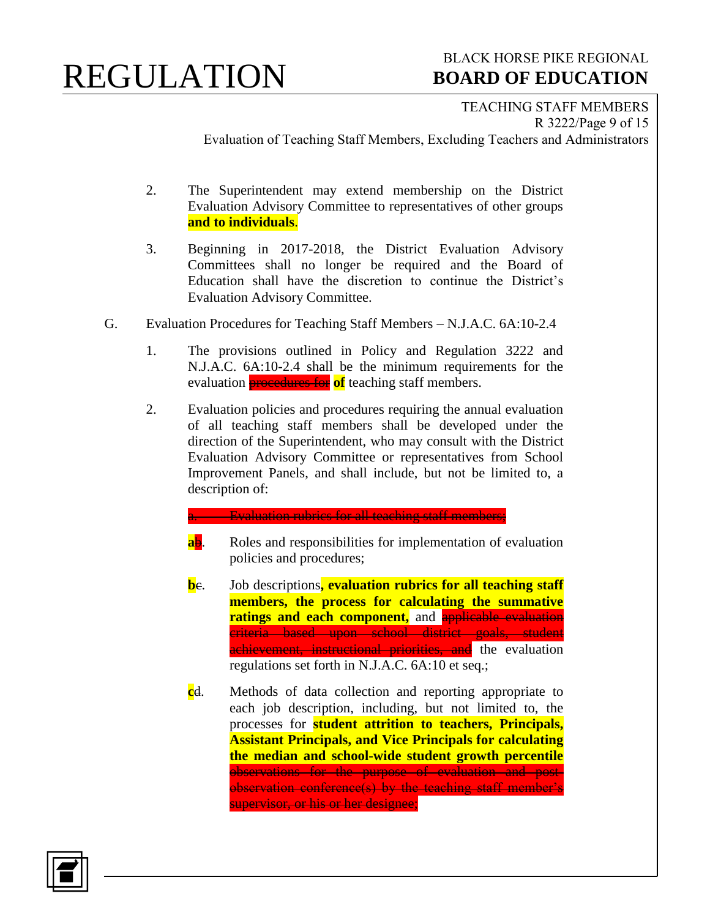#### BLACK HORSE PIKE REGIONAL  **BOARD OF EDUCATION**

TEACHING STAFF MEMBERS R 3222/Page 9 of 15 Evaluation of Teaching Staff Members, Excluding Teachers and Administrators

- 2. The Superintendent may extend membership on the District Evaluation Advisory Committee to representatives of other groups **and to individuals**.
- 3. Beginning in 2017-2018, the District Evaluation Advisory Committees shall no longer be required and the Board of Education shall have the discretion to continue the District's Evaluation Advisory Committee.
- G. Evaluation Procedures for Teaching Staff Members N.J.A.C. 6A:10-2.4
	- 1. The provisions outlined in Policy and Regulation 3222 and N.J.A.C. 6A:10-2.4 shall be the minimum requirements for the evaluation procedures for **of** teaching staff members.
	- 2. Evaluation policies and procedures requiring the annual evaluation of all teaching staff members shall be developed under the direction of the Superintendent, who may consult with the District Evaluation Advisory Committee or representatives from School Improvement Panels, and shall include, but not be limited to, a description of:
		- **Evaluation rubrics for all teaching staff members;**
		- **ab.** Roles and responsibilities for implementation of evaluation policies and procedures;
		- **b**e. Job descriptions, evaluation rubrics for all teaching staff **members, the process for calculating the summative ratings and each component**, and applicable evaluation criteria based upon school district goals, student achievement, instructional priorities, and the evaluation regulations set forth in N.J.A.C. 6A:10 et seq.;
		- **c**d. Methods of data collection and reporting appropriate to each job description, including, but not limited to, the processes for **student attrition to teachers, Principals, Assistant Principals, and Vice Principals for calculating the median and school-wide student growth percentile** observations for the purpose of evaluation and postobservation conference(s) by the teaching staff member's supervisor, or his or her designee;

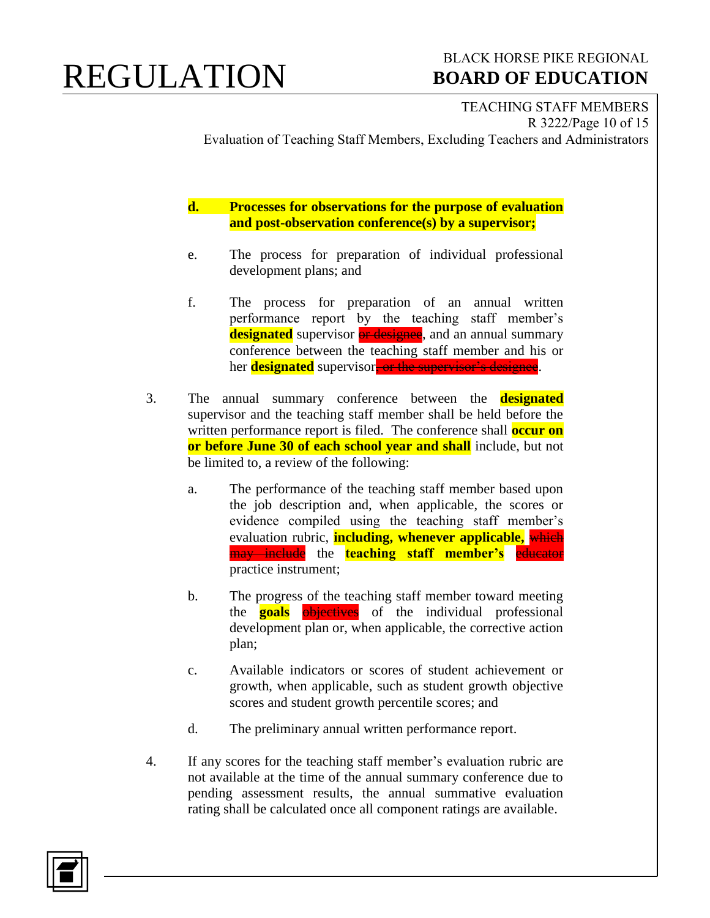### BLACK HORSE PIKE REGIONAL  **BOARD OF EDUCATION**

TEACHING STAFF MEMBERS R 3222/Page 10 of 15 Evaluation of Teaching Staff Members, Excluding Teachers and Administrators

**d. Processes for observations for the purpose of evaluation and post-observation conference(s) by a supervisor;**

- e. The process for preparation of individual professional development plans; and
- f. The process for preparation of an annual written performance report by the teaching staff member's **designated** supervisor **or designee**, and an annual summary conference between the teaching staff member and his or her **designated** supervisor, or the supervisor's designee.
- 3. The annual summary conference between the **designated** supervisor and the teaching staff member shall be held before the written performance report is filed. The conference shall **occur on or before June 30 of each school year and shall** include, but not be limited to, a review of the following:
	- a. The performance of the teaching staff member based upon the job description and, when applicable, the scores or evidence compiled using the teaching staff member's evaluation rubric, **including, whenever applicable,** which may include the **teaching staff member's** educator practice instrument;
	- b. The progress of the teaching staff member toward meeting the **goals objectives** of the individual professional development plan or, when applicable, the corrective action plan;
	- c. Available indicators or scores of student achievement or growth, when applicable, such as student growth objective scores and student growth percentile scores; and
	- d. The preliminary annual written performance report.
- 4. If any scores for the teaching staff member's evaluation rubric are not available at the time of the annual summary conference due to pending assessment results, the annual summative evaluation rating shall be calculated once all component ratings are available.

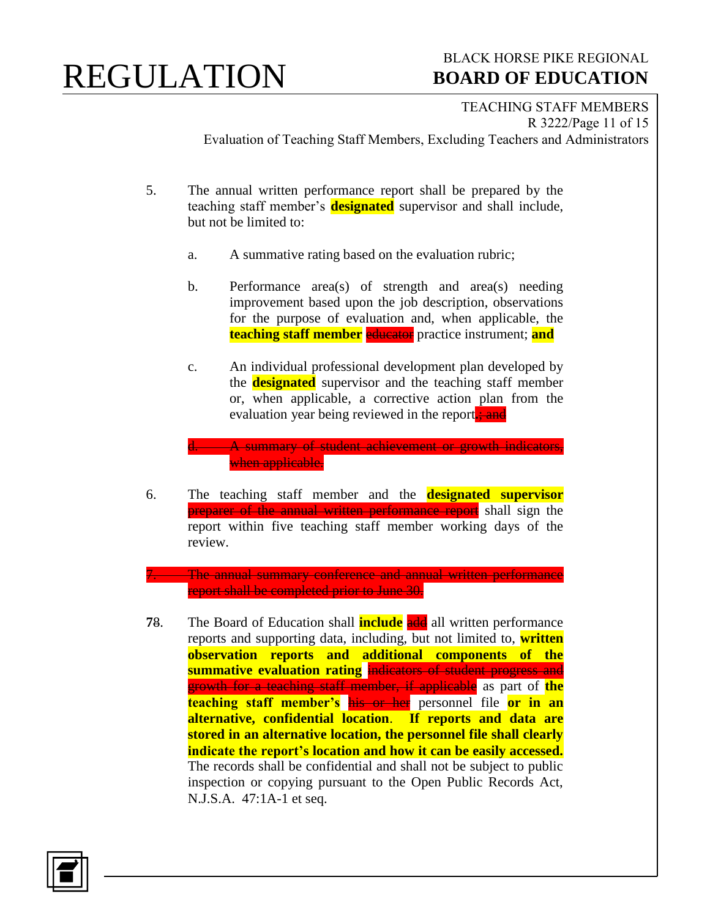### BLACK HORSE PIKE REGIONAL  **BOARD OF EDUCATION**

TEACHING STAFF MEMBERS R 3222/Page 11 of 15 Evaluation of Teaching Staff Members, Excluding Teachers and Administrators

- 5. The annual written performance report shall be prepared by the teaching staff member's **designated** supervisor and shall include, but not be limited to:
	- a. A summative rating based on the evaluation rubric;
	- b. Performance area(s) of strength and area(s) needing improvement based upon the job description, observations for the purpose of evaluation and, when applicable, the **teaching staff member** educator practice instrument; **and**
	- c. An individual professional development plan developed by the **designated** supervisor and the teaching staff member or, when applicable, a corrective action plan from the evaluation year being reviewed in the report**.**; and

A summary of student achievement or growth indicators when applicable.

6. The teaching staff member and the **designated supervisor** preparer of the annual written performance report shall sign the report within five teaching staff member working days of the review.

The annual summary conference and annual written performance report shall be completed prior to June 30.

**78.** The Board of Education shall **include** and all written performance reports and supporting data, including, but not limited to, **written observation reports and additional components of the summative evaluation rating** indicators of student progress and growth for a teaching staff member, if applicable as part of **the teaching staff member's** his or her personnel file **or in an alternative, confidential location**. **If reports and data are stored in an alternative location, the personnel file shall clearly indicate the report's location and how it can be easily accessed.**  The records shall be confidential and shall not be subject to public inspection or copying pursuant to the Open Public Records Act, N.J.S.A. 47:1A-1 et seq.

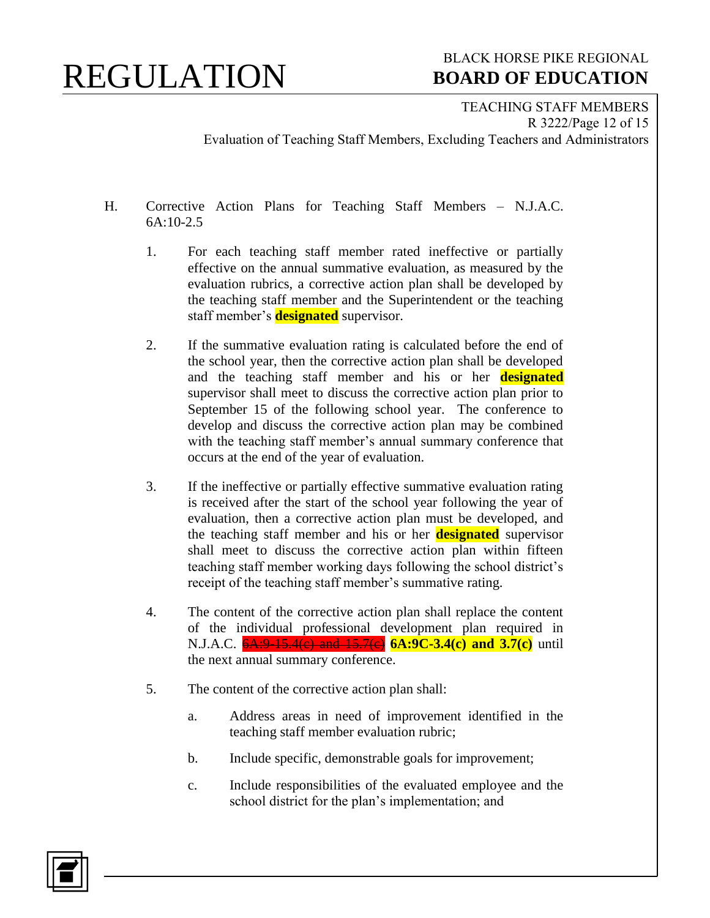### BLACK HORSE PIKE REGIONAL  **BOARD OF EDUCATION**

TEACHING STAFF MEMBERS R 3222/Page 12 of 15 Evaluation of Teaching Staff Members, Excluding Teachers and Administrators

- H. Corrective Action Plans for Teaching Staff Members N.J.A.C. 6A:10-2.5
	- 1. For each teaching staff member rated ineffective or partially effective on the annual summative evaluation, as measured by the evaluation rubrics, a corrective action plan shall be developed by the teaching staff member and the Superintendent or the teaching staff member's **designated** supervisor.
	- 2. If the summative evaluation rating is calculated before the end of the school year, then the corrective action plan shall be developed and the teaching staff member and his or her **designated** supervisor shall meet to discuss the corrective action plan prior to September 15 of the following school year. The conference to develop and discuss the corrective action plan may be combined with the teaching staff member's annual summary conference that occurs at the end of the year of evaluation.
	- 3. If the ineffective or partially effective summative evaluation rating is received after the start of the school year following the year of evaluation, then a corrective action plan must be developed, and the teaching staff member and his or her **designated** supervisor shall meet to discuss the corrective action plan within fifteen teaching staff member working days following the school district's receipt of the teaching staff member's summative rating.
	- 4. The content of the corrective action plan shall replace the content of the individual professional development plan required in N.J.A.C.  $\frac{6A:9-15.4(e)}{2}$  and  $\frac{15.7(e)}{2}$  **6A:9C-3.4(c)** and **3.7(c)** until the next annual summary conference.
	- 5. The content of the corrective action plan shall:
		- a. Address areas in need of improvement identified in the teaching staff member evaluation rubric;
		- b. Include specific, demonstrable goals for improvement;
		- c. Include responsibilities of the evaluated employee and the school district for the plan's implementation; and

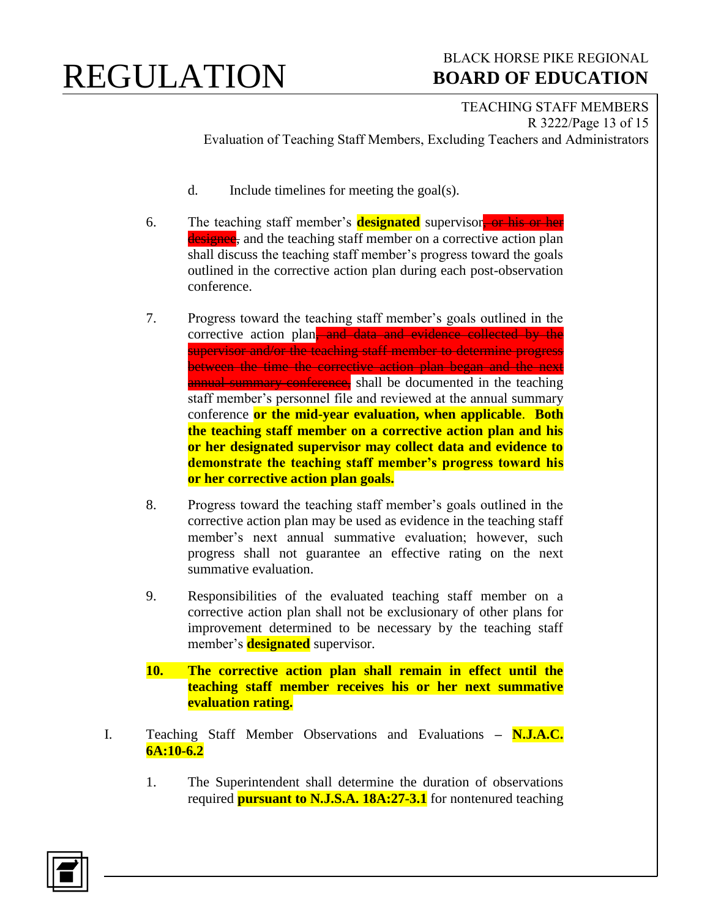#### BLACK HORSE PIKE REGIONAL  **BOARD OF EDUCATION**

TEACHING STAFF MEMBERS R 3222/Page 13 of 15 Evaluation of Teaching Staff Members, Excluding Teachers and Administrators

- d. Include timelines for meeting the goal(s).
- 6. The teaching staff member's **designated** supervisor, or his or her designed, and the teaching staff member on a corrective action plan shall discuss the teaching staff member's progress toward the goals outlined in the corrective action plan during each post-observation conference.
- 7. Progress toward the teaching staff member's goals outlined in the corrective action plan<del>, and data and evidence collected by the</del> supervisor and/or the teaching staff member to determine progress between the time the corrective action plan began and the next annual summary conference, shall be documented in the teaching staff member's personnel file and reviewed at the annual summary conference **or the mid-year evaluation, when applicable**. **Both the teaching staff member on a corrective action plan and his or her designated supervisor may collect data and evidence to demonstrate the teaching staff member's progress toward his or her corrective action plan goals.**
- 8. Progress toward the teaching staff member's goals outlined in the corrective action plan may be used as evidence in the teaching staff member's next annual summative evaluation; however, such progress shall not guarantee an effective rating on the next summative evaluation.
- 9. Responsibilities of the evaluated teaching staff member on a corrective action plan shall not be exclusionary of other plans for improvement determined to be necessary by the teaching staff member's **designated** supervisor.
- **10. The corrective action plan shall remain in effect until the teaching staff member receives his or her next summative evaluation rating.**
- I. Teaching Staff Member Observations and Evaluations **– N.J.A.C. 6A:10-6.2**
	- 1. The Superintendent shall determine the duration of observations required **pursuant to N.J.S.A. 18A:27-3.1** for nontenured teaching

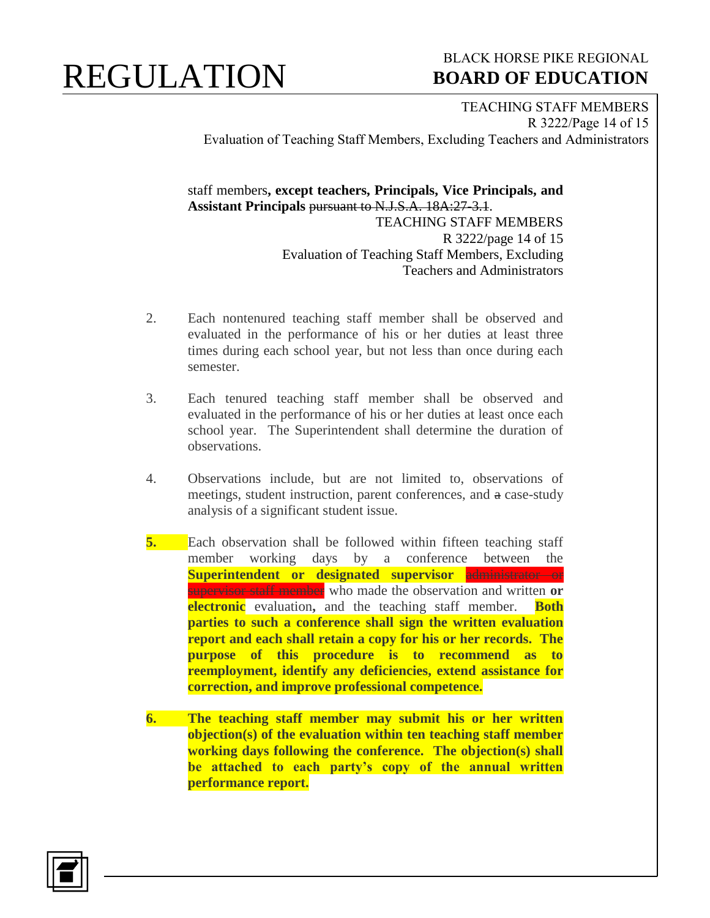#### BLACK HORSE PIKE REGIONAL  **BOARD OF EDUCATION**

TEACHING STAFF MEMBERS R 3222/Page 14 of 15 Evaluation of Teaching Staff Members, Excluding Teachers and Administrators

staff members**, except teachers, Principals, Vice Principals, and Assistant Principals** pursuant to N.J.S.A. 18A:27-3.1. TEACHING STAFF MEMBERS R 3222/page 14 of 15 Evaluation of Teaching Staff Members, Excluding Teachers and Administrators

- 2. Each nontenured teaching staff member shall be observed and evaluated in the performance of his or her duties at least three times during each school year, but not less than once during each semester.
- 3. Each tenured teaching staff member shall be observed and evaluated in the performance of his or her duties at least once each school year. The Superintendent shall determine the duration of observations.
- 4. Observations include, but are not limited to, observations of meetings, student instruction, parent conferences, and a case-study analysis of a significant student issue.
- **5.** Each observation shall be followed within fifteen teaching staff member working days by a conference between the **Superintendent or designated supervisor** administrator or supervisor staff member who made the observation and written **or electronic** evaluation**,** and the teaching staff member. **Both parties to such a conference shall sign the written evaluation report and each shall retain a copy for his or her records. The purpose of this procedure is to recommend as to reemployment, identify any deficiencies, extend assistance for correction, and improve professional competence.**
- **6. The teaching staff member may submit his or her written objection(s) of the evaluation within ten teaching staff member working days following the conference. The objection(s) shall be attached to each party's copy of the annual written performance report.**